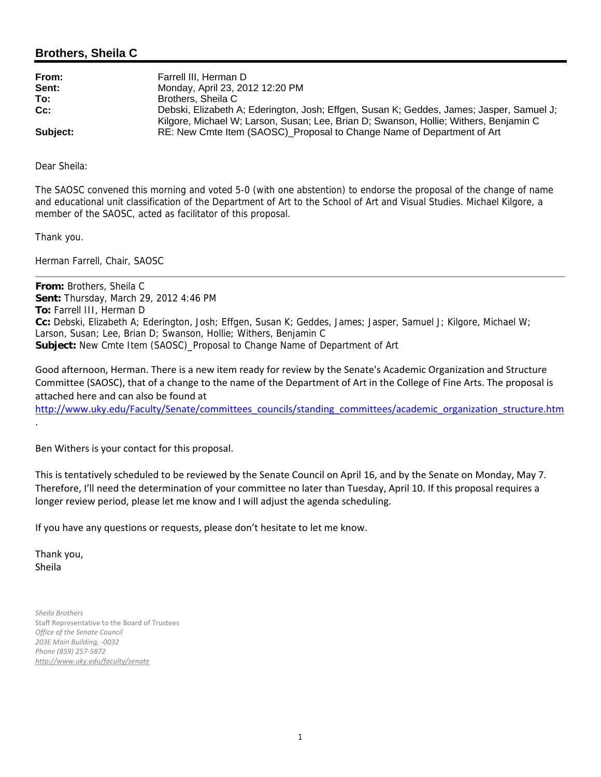# **Brothers, Sheila C**

| From:    | Farrell III. Herman D                                                                    |
|----------|------------------------------------------------------------------------------------------|
| Sent:    | Monday, April 23, 2012 12:20 PM                                                          |
| To:      | Brothers, Sheila C                                                                       |
| $Cc$ :   | Debski, Elizabeth A; Ederington, Josh; Effgen, Susan K; Geddes, James; Jasper, Samuel J; |
|          | Kilgore, Michael W; Larson, Susan; Lee, Brian D; Swanson, Hollie; Withers, Benjamin C    |
| Subject: | RE: New Cmte Item (SAOSC)_Proposal to Change Name of Department of Art                   |

Dear Sheila:

The SAOSC convened this morning and voted 5-0 (with one abstention) to endorse the proposal of the change of name and educational unit classification of the Department of Art to the School of Art and Visual Studies. Michael Kilgore, a member of the SAOSC, acted as facilitator of this proposal.

Thank you.

Herman Farrell, Chair, SAOSC

**From:** Brothers, Sheila C **Sent:** Thursday, March 29, 2012 4:46 PM **To:** Farrell III, Herman D **Cc:** Debski, Elizabeth A; Ederington, Josh; Effgen, Susan K; Geddes, James; Jasper, Samuel J; Kilgore, Michael W; Larson, Susan; Lee, Brian D; Swanson, Hollie; Withers, Benjamin C **Subject:** New Cmte Item (SAOSC)\_Proposal to Change Name of Department of Art

Good afternoon, Herman. There is a new item ready for review by the Senate's Academic Organization and Structure Committee (SAOSC), that of a change to the name of the Department of Art in the College of Fine Arts. The proposal is attached here and can also be found at

http://www.uky.edu/Faculty/Senate/committees\_councils/standing\_committees/academic\_organization\_structure.htm

Ben Withers is your contact for this proposal.

This is tentatively scheduled to be reviewed by the Senate Council on April 16, and by the Senate on Monday, May 7. Therefore, I'll need the determination of your committee no later than Tuesday, April 10. If this proposal requires a longer review period, please let me know and I will adjust the agenda scheduling.

If you have any questions or requests, please don't hesitate to let me know.

Thank you, Sheila

.

*Sheila Brothers* Staff Representative to the Board of Trustees *Office of the Senate Council 203E Main Building, ‐0032 Phone (859) 257‐5872 http://www.uky.edu/faculty/senate*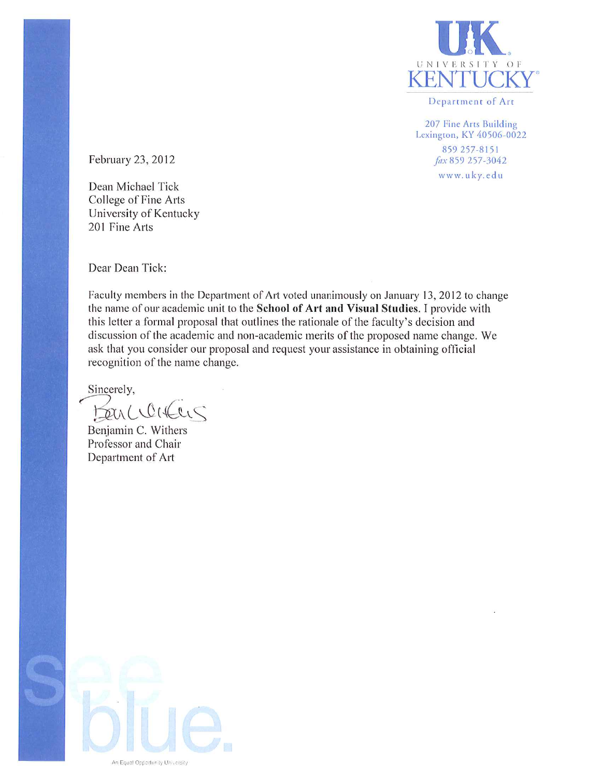

Department of Art

207 Fine Arts Building Lexington, KY 40506-0022 859 257-8151 fax 859 257-3042 www.uky.edu

February 23, 2012

Dean Michael Tick College of Fine Arts University of Kentucky 201 Fine Arts

Dear Dean Tick:

Faculty members in the Department of Art voted unanimously on January 13, 2012 to change the name of our academic unit to the School of Art and Visual Studies. I provide with this letter a formal proposal that outlines the rationale of the faculty's decision and discussion of the academic and non-academic merits of the proposed name change. We ask that you consider our proposal and request your assistance in obtaining official recognition of the name change.

Sincerely,

Benclearens

Benjamin C. Withers Professor and Chair Department of Art

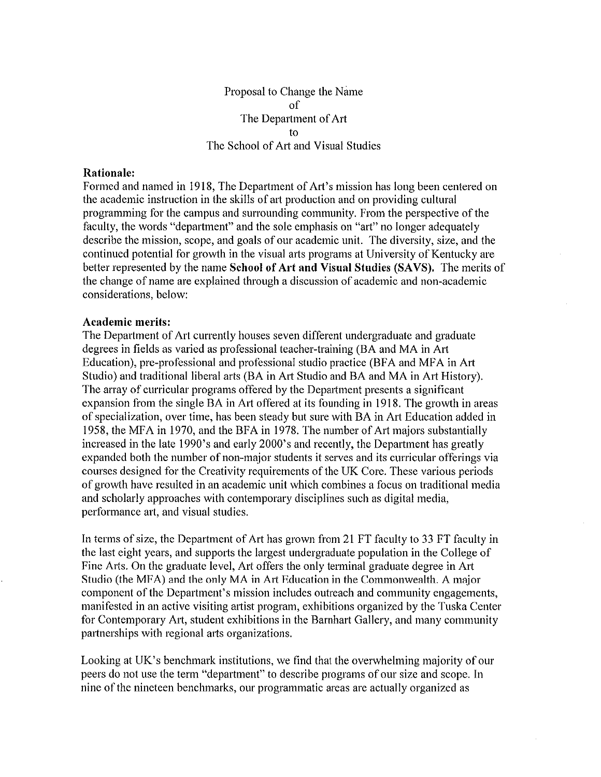Proposal to Change the Name  $\alpha$ f The Department of Art fΩ The School of Art and Visual Studies

### Rationale:

Formed and named in 1918. The Department of Art's mission has long been centered on the academic instruction in the skills of art production and on providing cultural programming for the campus and surrounding community. From the perspective of the faculty, the words "department" and the sole emphasis on "art" no longer adequately describe the mission, scope, and goals of our academic unit. The diversity, size, and the continued potential for growth in the visual arts programs at University of Kentucky are better represented by the name School of Art and Visual Studies (SAVS). The merits of the change of name are explained through a discussion of academic and non-academic considerations, below:

#### **Academic merits:**

The Department of Art currently houses seven different undergraduate and graduate degrees in fields as varied as professional teacher-training (BA and MA in Art Education), pre-professional and professional studio practice (BFA and MFA in Art Studio) and traditional liberal arts (BA in Art Studio and BA and MA in Art History). The array of curricular programs offered by the Department presents a significant expansion from the single BA in Art offered at its founding in 1918. The growth in areas of specialization, over time, has been steady but sure with BA in Art Education added in 1958, the MFA in 1970, and the BFA in 1978. The number of Art majors substantially increased in the late 1990's and early 2000's and recently, the Department has greatly expanded both the number of non-major students it serves and its curricular offerings via courses designed for the Creativity requirements of the UK Core. These various periods of growth have resulted in an academic unit which combines a focus on traditional media and scholarly approaches with contemporary disciplines such as digital media, performance art, and visual studies.

In terms of size, the Department of Art has grown from 21 FT faculty to 33 FT faculty in the last eight years, and supports the largest undergraduate population in the College of Fine Arts. On the graduate level, Art offers the only terminal graduate degree in Art Studio (the MFA) and the only MA in Art Education in the Commonwealth. A major component of the Department's mission includes outreach and community engagements, manifested in an active visiting artist program, exhibitions organized by the Tuska Center for Contemporary Art, student exhibitions in the Barnhart Gallery, and many community partnerships with regional arts organizations.

Looking at UK's benchmark institutions, we find that the overwhelming majority of our peers do not use the term "department" to describe programs of our size and scope. In nine of the nineteen benchmarks, our programmatic areas are actually organized as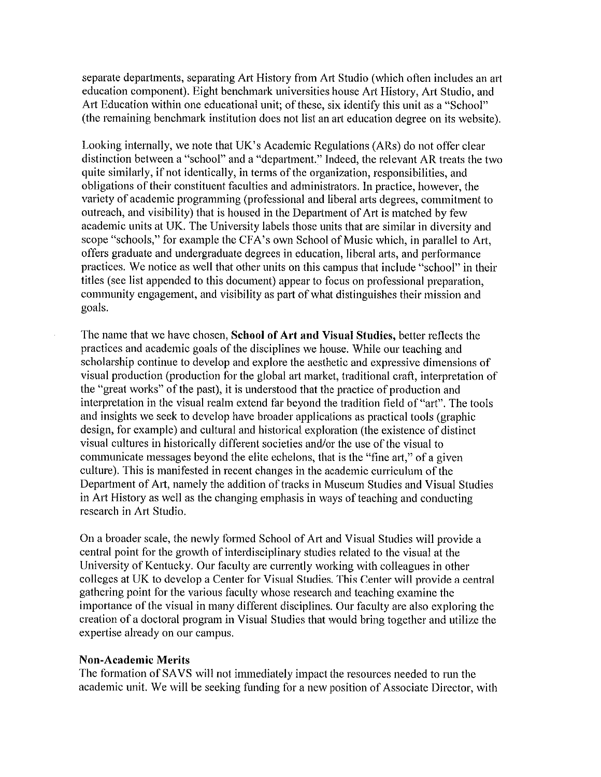separate departments, separating Art History from Art Studio (which often includes an art education component). Eight benchmark universities house Art History, Art Studio, and Art Education within one educational unit; of these, six identify this unit as a "School" (the remaining benchmark institution does not list an art education degree on its website).

Looking internally, we note that UK's Academic Regulations (ARs) do not offer clear distinction between a "school" and a "department." Indeed, the relevant AR treats the two quite similarly, if not identically, in terms of the organization, responsibilities, and obligations of their constituent faculties and administrators. In practice, however, the variety of academic programming (professional and liberal arts degrees, commitment to outreach, and visibility) that is housed in the Department of Art is matched by few academic units at UK. The University labels those units that are similar in diversity and scope "schools," for example the CFA's own School of Music which, in parallel to Art, offers graduate and undergraduate degrees in education, liberal arts, and performance practices. We notice as well that other units on this campus that include "school" in their titles (see list appended to this document) appear to focus on professional preparation, community engagement, and visibility as part of what distinguishes their mission and goals.

The name that we have chosen, School of Art and Visual Studies, better reflects the practices and academic goals of the disciplines we house. While our teaching and scholarship continue to develop and explore the aesthetic and expressive dimensions of visual production (production for the global art market, traditional craft, interpretation of the "great works" of the past), it is understood that the practice of production and interpretation in the visual realm extend far beyond the tradition field of "art". The tools and insights we seek to develop have broader applications as practical tools (graphic design, for example) and cultural and historical exploration (the existence of distinct visual cultures in historically different societies and/or the use of the visual to communicate messages beyond the elite echelons, that is the "fine art," of a given culture). This is manifested in recent changes in the academic curriculum of the Department of Art, namely the addition of tracks in Museum Studies and Visual Studies in Art History as well as the changing emphasis in ways of teaching and conducting research in Art Studio.

On a broader scale, the newly formed School of Art and Visual Studies will provide a central point for the growth of interdisciplinary studies related to the visual at the University of Kentucky. Our faculty are currently working with colleagues in other colleges at UK to develop a Center for Visual Studies. This Center will provide a central gathering point for the various faculty whose research and teaching examine the importance of the visual in many different disciplines. Our faculty are also exploring the creation of a doctoral program in Visual Studies that would bring together and utilize the expertise already on our campus.

### **Non-Academic Merits**

The formation of SAVS will not immediately impact the resources needed to run the academic unit. We will be seeking funding for a new position of Associate Director, with